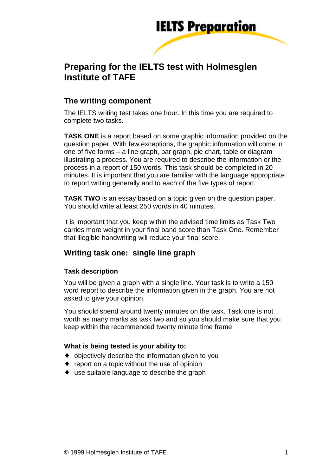

#### **Preparing for the IELTS test with Holmesglen Institute of TAFE**

#### **The writing component**

The IELTS writing test takes one hour. In this time you are required to complete two tasks.

**TASK ONE** is a report based on some graphic information provided on the question paper. With few exceptions, the graphic information will come in one of five forms – a line graph, bar graph, pie chart, table or diagram illustrating a process. You are required to describe the information or the process in a report of 150 words. This task should be completed in 20 minutes. It is important that you are familiar with the language appropriate to report writing generally and to each of the five types of report.

**TASK TWO** is an essay based on a topic given on the question paper. You should write at least 250 words in 40 minutes.

It is important that you keep within the advised time limits as Task Two carries more weight in your final band score than Task One. Remember that illegible handwriting will reduce your final score.

#### **Writing task one: single line graph**

#### **Task description**

You will be given a graph with a single line. Your task is to write a 150 word report to describe the information given in the graph. You are not asked to give your opinion.

You should spend around twenty minutes on the task. Task one is not worth as many marks as task two and so you should make sure that you keep within the recommended twenty minute time frame.

#### **What is being tested is your ability to:**

- ♦ objectively describe the information given to you
- ◆ report on a topic without the use of opinion
- ♦ use suitable language to describe the graph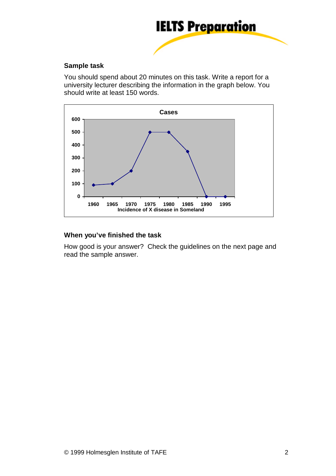

#### **Sample task**

You should spend about 20 minutes on this task. Write a report for a university lecturer describing the information in the graph below. You should write at least 150 words.



#### **When you've finished the task**

How good is your answer? Check the guidelines on the next page and read the sample answer.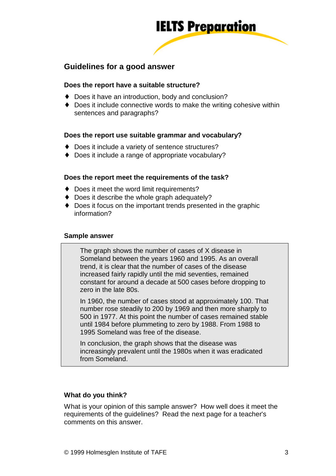

#### **Guidelines for a good answer**

#### **Does the report have a suitable structure?**

- ♦ Does it have an introduction, body and conclusion?
- $\bullet$  Does it include connective words to make the writing cohesive within sentences and paragraphs?

#### **Does the report use suitable grammar and vocabulary?**

- ♦ Does it include a variety of sentence structures?
- ♦ Does it include a range of appropriate vocabulary?

#### **Does the report meet the requirements of the task?**

- ◆ Does it meet the word limit requirements?
- ♦ Does it describe the whole graph adequately?
- ♦ Does it focus on the important trends presented in the graphic information?

#### **Sample answer**

The graph shows the number of cases of X disease in Someland between the years 1960 and 1995. As an overall trend, it is clear that the number of cases of the disease increased fairly rapidly until the mid seventies, remained constant for around a decade at 500 cases before dropping to zero in the late 80s.

In 1960, the number of cases stood at approximately 100. That number rose steadily to 200 by 1969 and then more sharply to 500 in 1977. At this point the number of cases remained stable until 1984 before plummeting to zero by 1988. From 1988 to 1995 Someland was free of the disease.

In conclusion, the graph shows that the disease was increasingly prevalent until the 1980s when it was eradicated from Someland.

#### **What do you think?**

What is your opinion of this sample answer? How well does it meet the requirements of the guidelines? Read the next page for a teacher's comments on this answer.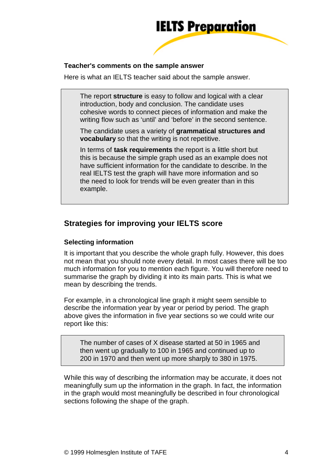

#### **Teacher's comments on the sample answer**

Here is what an IELTS teacher said about the sample answer.

The report **structure** is easy to follow and logical with a clear introduction, body and conclusion. The candidate uses cohesive words to connect pieces of information and make the writing flow such as 'until' and 'before' in the second sentence.

The candidate uses a variety of **grammatical structures and vocabulary** so that the writing is not repetitive.

In terms of **task requirements** the report is a little short but this is because the simple graph used as an example does not have sufficient information for the candidate to describe. In the real IELTS test the graph will have more information and so the need to look for trends will be even greater than in this example.

#### **Strategies for improving your IELTS score**

#### **Selecting information**

It is important that you describe the whole graph fully. However, this does not mean that you should note every detail. In most cases there will be too much information for you to mention each figure. You will therefore need to summarise the graph by dividing it into its main parts. This is what we mean by describing the trends.

For example, in a chronological line graph it might seem sensible to describe the information year by year or period by period. The graph above gives the information in five year sections so we could write our report like this:

The number of cases of X disease started at 50 in 1965 and then went up gradually to 100 in 1965 and continued up to 200 in 1970 and then went up more sharply to 380 in 1975.

While this way of describing the information may be accurate, it does not meaningfully sum up the information in the graph. In fact, the information in the graph would most meaningfully be described in four chronological sections following the shape of the graph.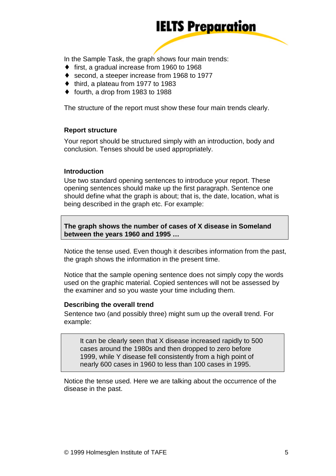In the Sample Task, the graph shows four main trends:

- ♦ first, a gradual increase from 1960 to 1968
- ♦ second, a steeper increase from 1968 to 1977
- ♦ third, a plateau from 1977 to 1983
- $\bullet$  fourth, a drop from 1983 to 1988

The structure of the report must show these four main trends clearly.

#### **Report structure**

Your report should be structured simply with an introduction, body and conclusion. Tenses should be used appropriately.

#### **Introduction**

Use two standard opening sentences to introduce your report. These opening sentences should make up the first paragraph. Sentence one should define what the graph is about; that is, the date, location, what is being described in the graph etc. For example:

**The graph shows the number of cases of X disease in Someland between the years 1960 and 1995 …**

Notice the tense used. Even though it describes information from the past, the graph shows the information in the present time.

Notice that the sample opening sentence does not simply copy the words used on the graphic material. Copied sentences will not be assessed by the examiner and so you waste your time including them.

#### **Describing the overall trend**

Sentence two (and possibly three) might sum up the overall trend. For example:

It can be clearly seen that X disease increased rapidly to 500 cases around the 1980s and then dropped to zero before 1999, while Y disease fell consistently from a high point of nearly 600 cases in 1960 to less than 100 cases in 1995.

Notice the tense used. Here we are talking about the occurrence of the disease in the past.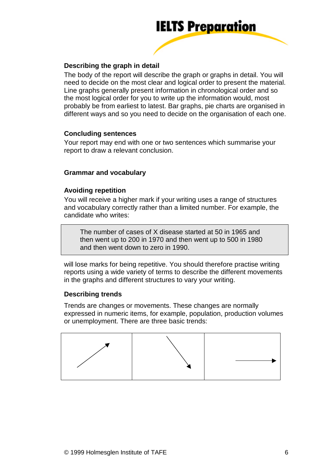

#### **Describing the graph in detail**

The body of the report will describe the graph or graphs in detail. You will need to decide on the most clear and logical order to present the material. Line graphs generally present information in chronological order and so the most logical order for you to write up the information would, most probably be from earliest to latest. Bar graphs, pie charts are organised in different ways and so you need to decide on the organisation of each one.

#### **Concluding sentences**

Your report may end with one or two sentences which summarise your report to draw a relevant conclusion.

#### **Grammar and vocabulary**

#### **Avoiding repetition**

You will receive a higher mark if your writing uses a range of structures and vocabulary correctly rather than a limited number. For example, the candidate who writes:

The number of cases of X disease started at 50 in 1965 and then went up to 200 in 1970 and then went up to 500 in 1980 and then went down to zero in 1990.

will lose marks for being repetitive. You should therefore practise writing reports using a wide variety of terms to describe the different movements in the graphs and different structures to vary your writing.

#### **Describing trends**

Trends are changes or movements. These changes are normally expressed in numeric items, for example, population, production volumes or unemployment. There are three basic trends:

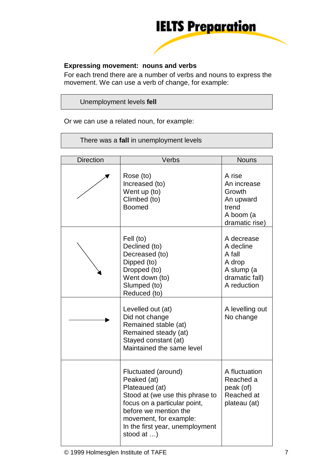

#### **Expressing movement: nouns and verbs**

For each trend there are a number of verbs and nouns to express the movement. We can use a verb of change, for example:

Unemployment levels **fell**

Or we can use a related noun, for example:

There was a **fall** in unemployment levels

| <b>Direction</b> | Verbs                                                                                                                                                                                                                       | <b>Nouns</b>                                                                               |
|------------------|-----------------------------------------------------------------------------------------------------------------------------------------------------------------------------------------------------------------------------|--------------------------------------------------------------------------------------------|
|                  | Rose (to)<br>Increased (to)<br>Went up (to)<br>Climbed (to)<br><b>Boomed</b>                                                                                                                                                | A rise<br>An increase<br>Growth<br>An upward<br>trend<br>A boom (a<br>dramatic rise)       |
|                  | Fell (to)<br>Declined (to)<br>Decreased (to)<br>Dipped (to)<br>Dropped (to)<br>Went down (to)<br>Slumped (to)<br>Reduced (to)                                                                                               | A decrease<br>A decline<br>A fall<br>A drop<br>A slump (a<br>dramatic fall)<br>A reduction |
|                  | Levelled out (at)<br>Did not change<br>Remained stable (at)<br>Remained steady (at)<br>Stayed constant (at)<br>Maintained the same level                                                                                    | A levelling out<br>No change                                                               |
|                  | Fluctuated (around)<br>Peaked (at)<br>Plateaued (at)<br>Stood at (we use this phrase to<br>focus on a particular point,<br>before we mention the<br>movement, for example:<br>In the first year, unemployment<br>stood at ) | A fluctuation<br>Reached a<br>peak (of)<br>Reached at<br>plateau (at)                      |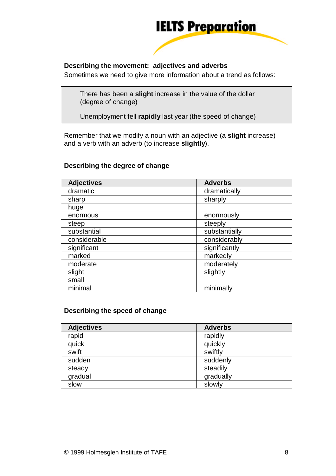

#### **Describing the movement: adjectives and adverbs**

Sometimes we need to give more information about a trend as follows:

There has been a **slight** increase in the value of the dollar (degree of change)

Unemployment fell **rapidly** last year (the speed of change)

Remember that we modify a noun with an adjective (a **slight** increase) and a verb with an adverb (to increase **slightly**).

#### **Describing the degree of change**

| <b>Adjectives</b> | <b>Adverbs</b> |  |
|-------------------|----------------|--|
| dramatic          | dramatically   |  |
| sharp             | sharply        |  |
| huge              |                |  |
| enormous          | enormously     |  |
| steep             | steeply        |  |
| substantial       | substantially  |  |
| considerable      | considerably   |  |
| significant       | significantly  |  |
| marked            | markedly       |  |
| moderate          | moderately     |  |
| slight            | slightly       |  |
| small             |                |  |
| minimal           | minimally      |  |

#### **Describing the speed of change**

| <b>Adjectives</b> | <b>Adverbs</b> |
|-------------------|----------------|
| rapid             | rapidly        |
| quick             | quickly        |
| swift             | swiftly        |
| sudden            | suddenly       |
| steady            | steadily       |
| gradual           | gradually      |
| slow              | slowly         |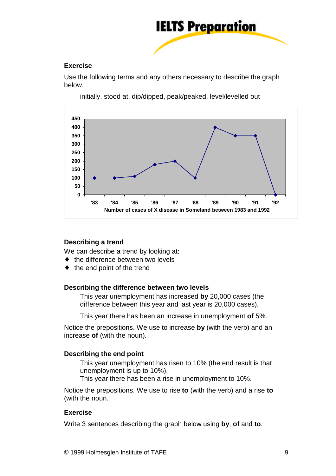

#### **Exercise**

Use the following terms and any others necessary to describe the graph below.





#### **Describing a trend**

We can describe a trend by looking at:

- $\bullet$  the difference between two levels
- the end point of the trend

#### **Describing the difference between two levels**

This year unemployment has increased **by** 20,000 cases (the difference between this year and last year is 20,000 cases).

This year there has been an increase in unemployment **of** 5%.

Notice the prepositions. We use to increase **by** (with the verb) and an increase **of** (with the noun).

#### **Describing the end point**

This year unemployment has risen to 10% (the end result is that unemployment is up to 10%).

This year there has been a rise in unemployment to 10%.

Notice the prepositions. We use to rise **to** (with the verb) and a rise **to** (with the noun.

#### **Exercise**

Write 3 sentences describing the graph below using **by**, **of** and **to**.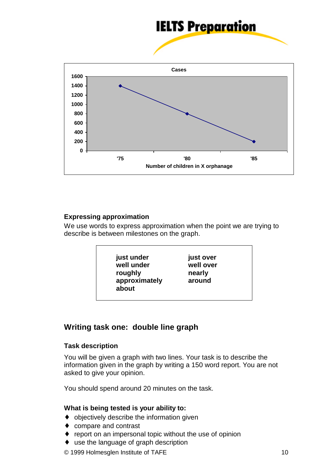



#### **Expressing approximation**

We use words to express approximation when the point we are trying to describe is between milestones on the graph.

| just under             | just over |
|------------------------|-----------|
| well under             | well over |
| roughly                | nearly    |
| approximately<br>about | around    |

#### **Writing task one: double line graph**

#### **Task description**

You will be given a graph with two lines. Your task is to describe the information given in the graph by writing a 150 word report. You are not asked to give your opinion.

You should spend around 20 minutes on the task.

#### **What is being tested is your ability to:**

- ♦ objectively describe the information given
- ♦ compare and contrast
- ♦ report on an impersonal topic without the use of opinion
- ♦ use the language of graph description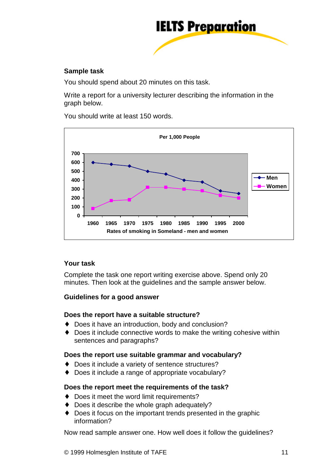

#### **Sample task**

You should spend about 20 minutes on this task.

Write a report for a university lecturer describing the information in the graph below.

You should write at least 150 words.



#### **Your task**

Complete the task one report writing exercise above. Spend only 20 minutes. Then look at the guidelines and the sample answer below.

#### **Guidelines for a good answer**

#### **Does the report have a suitable structure?**

- ♦ Does it have an introduction, body and conclusion?
- ♦ Does it include connective words to make the writing cohesive within sentences and paragraphs?

#### **Does the report use suitable grammar and vocabulary?**

- ♦ Does it include a variety of sentence structures?
- Does it include a range of appropriate vocabulary?

#### **Does the report meet the requirements of the task?**

- ♦ Does it meet the word limit requirements?
- ♦ Does it describe the whole graph adequately?
- ♦ Does it focus on the important trends presented in the graphic information?

Now read sample answer one. How well does it follow the guidelines?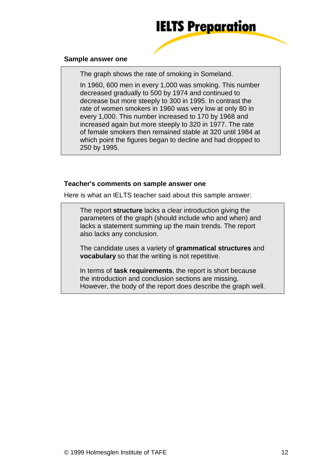

#### **Sample answer one**

The graph shows the rate of smoking in Someland.

In 1960, 600 men in every 1,000 was smoking. This number decreased gradually to 500 by 1974 and continued to decrease but more steeply to 300 in 1995. In contrast the rate of women smokers in 1960 was very low at only 80 in every 1,000. This number increased to 170 by 1968 and increased again but more steeply to 320 in 1977. The rate of female smokers then remained stable at 320 until 1984 at which point the figures began to decline and had dropped to 250 by 1995.

#### **Teacher's comments on sample answer one**

Here is what an IELTS teacher said about this sample answer:

The report **structure** lacks a clear introduction giving the parameters of the graph (should include who and when) and lacks a statement summing up the main trends. The report also lacks any conclusion.

The candidate uses a variety of **grammatical structures** and **vocabulary** so that the writing is not repetitive.

In terms of **task requirements**, the report is short because the introduction and conclusion sections are missing. However, the body of the report does describe the graph well.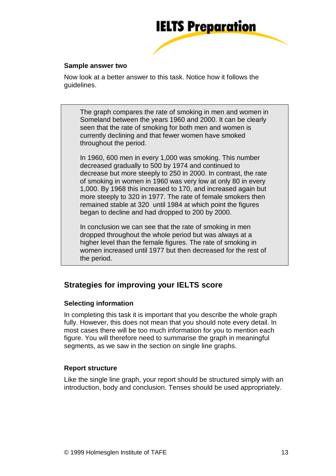

#### **Sample answer two**

Now look at a better answer to this task. Notice how it follows the guidelines.

The graph compares the rate of smoking in men and women in Someland between the years 1960 and 2000. It can be clearly seen that the rate of smoking for both men and women is currently declining and that fewer women have smoked throughout the period.

In 1960, 600 men in every 1,000 was smoking. This number decreased gradually to 500 by 1974 and continued to decrease but more steeply to 250 in 2000. In contrast, the rate of smoking in women in 1960 was very low at only 80 in every 1,000. By 1968 this increased to 170, and increased again but more steeply to 320 in 1977. The rate of female smokers then remained stable at 320 until 1984 at which point the figures began to decline and had dropped to 200 by 2000.

In conclusion we can see that the rate of smoking in men dropped throughout the whole period but was always at a higher level than the female figures. The rate of smoking in women increased until 1977 but then decreased for the rest of the period.

#### **Strategies for improving your IELTS score**

#### **Selecting information**

In completing this task it is important that you describe the whole graph fully. However, this does not mean that you should note every detail. In most cases there will be too much information for you to mention each figure. You will therefore need to summarise the graph in meaningful segments, as we saw in the section on single line graphs.

#### **Report structure**

Like the single line graph, your report should be structured simply with an introduction, body and conclusion. Tenses should be used appropriately.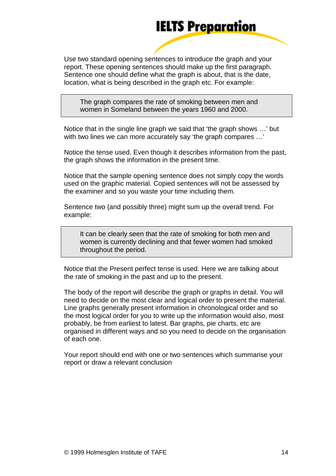

Use two standard opening sentences to introduce the graph and your report. These opening sentences should make up the first paragraph. Sentence one should define what the graph is about, that is the date, location, what is being described in the graph etc. For example:

The graph compares the rate of smoking between men and women in Someland between the years 1960 and 2000.

Notice that in the single line graph we said that 'the graph shows … ' but with two lines we can more accurately say 'the graph compares … '

Notice the tense used. Even though it describes information from the past, the graph shows the information in the present time.

Notice that the sample opening sentence does not simply copy the words used on the graphic material. Copied sentences will not be assessed by the examiner and so you waste your time including them.

Sentence two (and possibly three) might sum up the overall trend. For example:

It can be clearly seen that the rate of smoking for both men and women is currently declining and that fewer women had smoked throughout the period.

Notice that the Present perfect tense is used. Here we are talking about the rate of smoking in the past and up to the present.

The body of the report will describe the graph or graphs in detail. You will need to decide on the most clear and logical order to present the material. Line graphs generally present information in chronological order and so the most logical order for you to write up the information would also, most probably, be from earliest to latest. Bar graphs, pie charts, etc are organised in different ways and so you need to decide on the organisation of each one.

Your report should end with one or two sentences which summarise your report or draw a relevant conclusion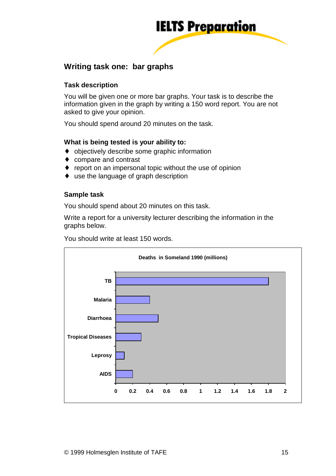

#### **Writing task one: bar graphs**

#### **Task description**

You will be given one or more bar graphs. Your task is to describe the information given in the graph by writing a 150 word report. You are not asked to give your opinion.

You should spend around 20 minutes on the task.

#### **What is being tested is your ability to:**

- ♦ objectively describe some graphic information
- ♦ compare and contrast
- ♦ report on an impersonal topic without the use of opinion
- ♦ use the language of graph description

#### **Sample task**

You should spend about 20 minutes on this task.

Write a report for a university lecturer describing the information in the graphs below.

You should write at least 150 words.

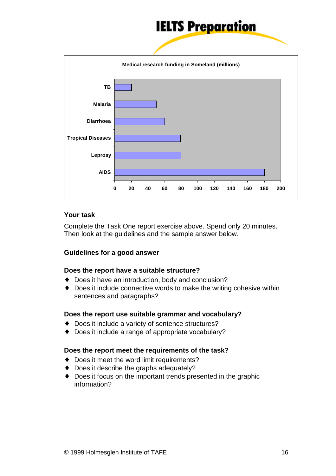



#### **Your task**

Complete the Task One report exercise above. Spend only 20 minutes. Then look at the guidelines and the sample answer below.

#### **Guidelines for a good answer**

#### **Does the report have a suitable structure?**

- ♦ Does it have an introduction, body and conclusion?
- ♦ Does it include connective words to make the writing cohesive within sentences and paragraphs?

#### **Does the report use suitable grammar and vocabulary?**

- ♦ Does it include a variety of sentence structures?
- ♦ Does it include a range of appropriate vocabulary?

#### **Does the report meet the requirements of the task?**

- ♦ Does it meet the word limit requirements?
- ♦ Does it describe the graphs adequately?
- ♦ Does it focus on the important trends presented in the graphic information?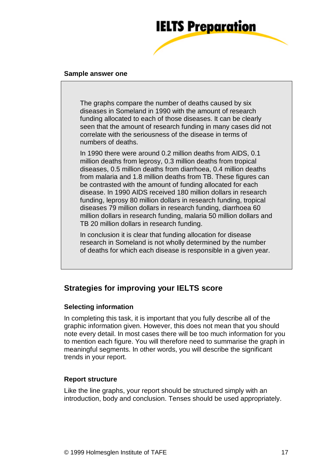

#### **Sample answer one**

The graphs compare the number of deaths caused by six diseases in Someland in 1990 with the amount of research funding allocated to each of those diseases. It can be clearly seen that the amount of research funding in many cases did not correlate with the seriousness of the disease in terms of numbers of deaths.

In 1990 there were around 0.2 million deaths from AIDS, 0.1 million deaths from leprosy, 0.3 million deaths from tropical diseases, 0.5 million deaths from diarrhoea, 0.4 million deaths from malaria and 1.8 million deaths from TB. These figures can be contrasted with the amount of funding allocated for each disease. In 1990 AIDS received 180 million dollars in research funding, leprosy 80 million dollars in research funding, tropical diseases 79 million dollars in research funding, diarrhoea 60 million dollars in research funding, malaria 50 million dollars and TB 20 million dollars in research funding.

In conclusion it is clear that funding allocation for disease research in Someland is not wholly determined by the number of deaths for which each disease is responsible in a given year.

#### **Strategies for improving your IELTS score**

#### **Selecting information**

In completing this task, it is important that you fully describe all of the graphic information given. However, this does not mean that you should note every detail. In most cases there will be too much information for you to mention each figure. You will therefore need to summarise the graph in meaningful segments. In other words, you will describe the significant trends in your report.

#### **Report structure**

Like the line graphs, your report should be structured simply with an introduction, body and conclusion. Tenses should be used appropriately.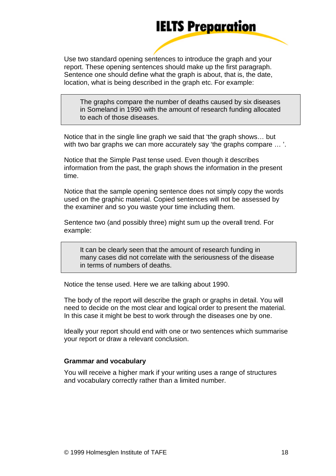Use two standard opening sentences to introduce the graph and your report. These opening sentences should make up the first paragraph. Sentence one should define what the graph is about, that is, the date, location, what is being described in the graph etc. For example:

The graphs compare the number of deaths caused by six diseases in Someland in 1990 with the amount of research funding allocated to each of those diseases.

Notice that in the single line graph we said that 'the graph shows… but with two bar graphs we can more accurately say 'the graphs compare ...'.

Notice that the Simple Past tense used. Even though it describes information from the past, the graph shows the information in the present time.

Notice that the sample opening sentence does not simply copy the words used on the graphic material. Copied sentences will not be assessed by the examiner and so you waste your time including them.

Sentence two (and possibly three) might sum up the overall trend. For example:

It can be clearly seen that the amount of research funding in many cases did not correlate with the seriousness of the disease in terms of numbers of deaths.

Notice the tense used. Here we are talking about 1990.

The body of the report will describe the graph or graphs in detail. You will need to decide on the most clear and logical order to present the material. In this case it might be best to work through the diseases one by one.

Ideally your report should end with one or two sentences which summarise your report or draw a relevant conclusion.

#### **Grammar and vocabulary**

You will receive a higher mark if your writing uses a range of structures and vocabulary correctly rather than a limited number.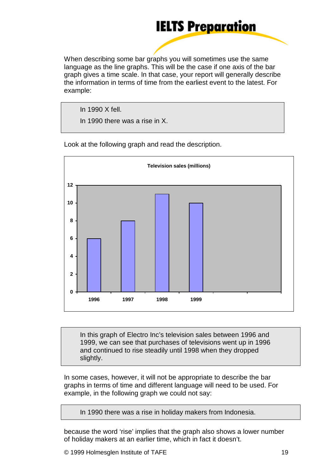When describing some bar graphs you will sometimes use the same language as the line graphs. This will be the case if one axis of the bar graph gives a time scale. In that case, your report will generally describe the information in terms of time from the earliest event to the latest. For example:

In 1990 X fell. In 1990 there was a rise in X.



Look at the following graph and read the description.

In this graph of Electro Inc's television sales between 1996 and 1999, we can see that purchases of televisions went up in 1996 and continued to rise steadily until 1998 when they dropped slightly.

In some cases, however, it will not be appropriate to describe the bar graphs in terms of time and different language will need to be used. For example, in the following graph we could not say:

In 1990 there was a rise in holiday makers from Indonesia.

because the word 'rise' implies that the graph also shows a lower number of holiday makers at an earlier time, which in fact it doesn't.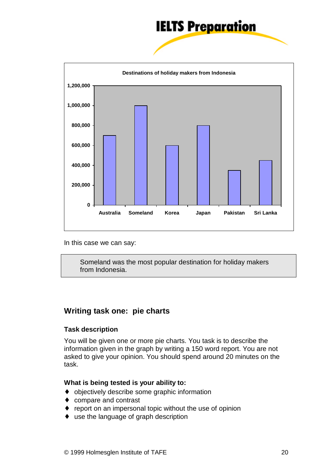



In this case we can say:

Someland was the most popular destination for holiday makers from Indonesia.

#### **Writing task one: pie charts**

#### **Task description**

You will be given one or more pie charts. You task is to describe the information given in the graph by writing a 150 word report. You are not asked to give your opinion. You should spend around 20 minutes on the task.

#### **What is being tested is your ability to:**

- ♦ objectively describe some graphic information
- ♦ compare and contrast
- ♦ report on an impersonal topic without the use of opinion
- ♦ use the language of graph description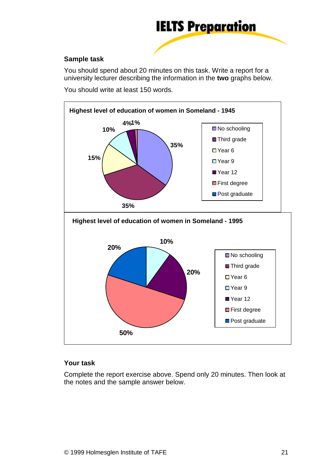

#### **Sample task**

You should spend about 20 minutes on this task. Write a report for a university lecturer describing the information in the **two** graphs below.

You should write at least 150 words.



#### **Your task**

Complete the report exercise above. Spend only 20 minutes. Then look at the notes and the sample answer below.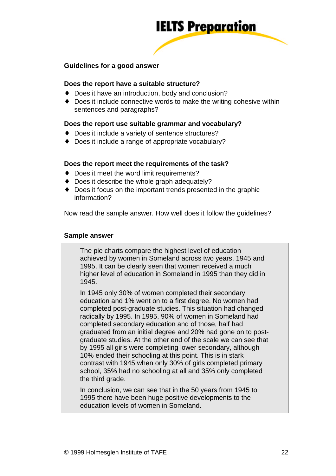

#### **Guidelines for a good answer**

#### **Does the report have a suitable structure?**

- ♦ Does it have an introduction, body and conclusion?
- ♦ Does it include connective words to make the writing cohesive within sentences and paragraphs?

#### **Does the report use suitable grammar and vocabulary?**

- ♦ Does it include a variety of sentence structures?
- ♦ Does it include a range of appropriate vocabulary?

#### **Does the report meet the requirements of the task?**

- ♦ Does it meet the word limit requirements?
- ♦ Does it describe the whole graph adequately?
- ♦ Does it focus on the important trends presented in the graphic information?

Now read the sample answer. How well does it follow the guidelines?

#### **Sample answer**

The pie charts compare the highest level of education achieved by women in Someland across two years, 1945 and 1995. It can be clearly seen that women received a much higher level of education in Someland in 1995 than they did in 1945.

In 1945 only 30% of women completed their secondary education and 1% went on to a first degree. No women had completed post-graduate studies. This situation had changed radically by 1995. In 1995, 90% of women in Someland had completed secondary education and of those, half had graduated from an initial degree and 20% had gone on to postgraduate studies. At the other end of the scale we can see that by 1995 all girls were completing lower secondary, although 10% ended their schooling at this point. This is in stark contrast with 1945 when only 30% of girls completed primary school, 35% had no schooling at all and 35% only completed the third grade.

In conclusion, we can see that in the 50 years from 1945 to 1995 there have been huge positive developments to the education levels of women in Someland.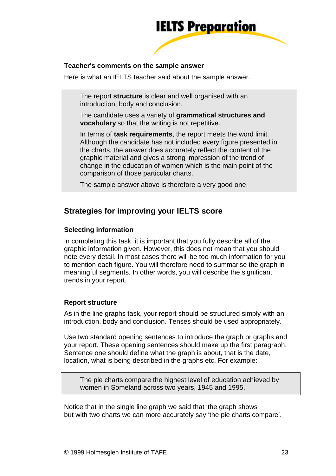

#### **Teacher's comments on the sample answer**

Here is what an IELTS teacher said about the sample answer.

The report **structure** is clear and well organised with an introduction, body and conclusion.

The candidate uses a variety of **grammatical structures and vocabulary** so that the writing is not repetitive.

In terms of **task requirements**, the report meets the word limit. Although the candidate has not included every figure presented in the charts, the answer does accurately reflect the content of the graphic material and gives a strong impression of the trend of change in the education of women which is the main point of the comparison of those particular charts.

The sample answer above is therefore a very good one.

#### **Strategies for improving your IELTS score**

#### **Selecting information**

In completing this task, it is important that you fully describe all of the graphic information given. However, this does not mean that you should note every detail. In most cases there will be too much information for you to mention each figure. You will therefore need to summarise the graph in meaningful segments. In other words, you will describe the significant trends in your report.

#### **Report structure**

As in the line graphs task, your report should be structured simply with an introduction, body and conclusion. Tenses should be used appropriately.

Use two standard opening sentences to introduce the graph or graphs and your report. These opening sentences should make up the first paragraph. Sentence one should define what the graph is about, that is the date, location, what is being described in the graphs etc. For example:

The pie charts compare the highest level of education achieved by women in Someland across two years, 1945 and 1995.

Notice that in the single line graph we said that 'the graph shows' but with two charts we can more accurately say 'the pie charts compare'.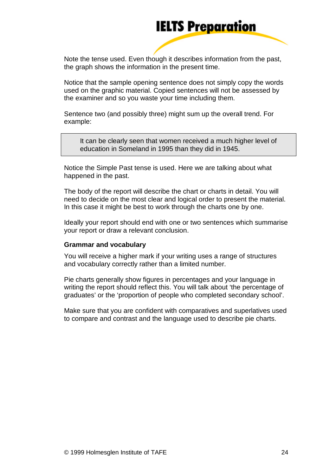Note the tense used. Even though it describes information from the past, the graph shows the information in the present time.

Notice that the sample opening sentence does not simply copy the words used on the graphic material. Copied sentences will not be assessed by the examiner and so you waste your time including them.

Sentence two (and possibly three) might sum up the overall trend. For example:

It can be clearly seen that women received a much higher level of education in Someland in 1995 than they did in 1945.

Notice the Simple Past tense is used. Here we are talking about what happened in the past.

The body of the report will describe the chart or charts in detail. You will need to decide on the most clear and logical order to present the material. In this case it might be best to work through the charts one by one.

Ideally your report should end with one or two sentences which summarise your report or draw a relevant conclusion.

#### **Grammar and vocabulary**

You will receive a higher mark if your writing uses a range of structures and vocabulary correctly rather than a limited number.

Pie charts generally show figures in percentages and your language in writing the report should reflect this. You will talk about 'the percentage of graduates' or the 'proportion of people who completed secondary school'.

Make sure that you are confident with comparatives and superlatives used to compare and contrast and the language used to describe pie charts.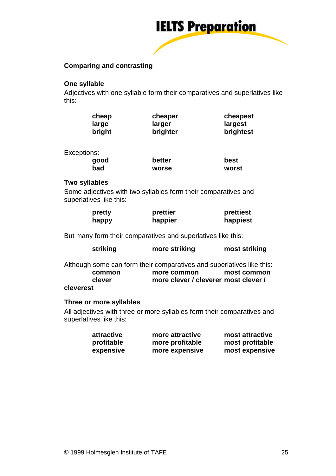

#### **Comparing and contrasting**

#### **One syllable**

Adjectives with one syllable form their comparatives and superlatives like this:

| cheap  | cheaper  | cheapest  |
|--------|----------|-----------|
| large  | larger   | largest   |
| bright | brighter | brightest |

Exceptions:

| good | <b>better</b> | best  |
|------|---------------|-------|
| bad  | worse         | worst |

#### **Two syllables**

Some adjectives with two syllables form their comparatives and superlatives like this:

| pretty | prettier | prettiest |
|--------|----------|-----------|
| happy  | happier  | happiest  |

But many form their comparatives and superlatives like this:

| striking | more striking | most striking |
|----------|---------------|---------------|
|          |               |               |

Although some can form their comparatives and superlatives like this: **common more common most common clever more clever / cleverer most clever / cleverest**

#### **Three or more syllables**

All adjectives with three or more syllables form their comparatives and superlatives like this:

| attractive | more attractive | most attractive |
|------------|-----------------|-----------------|
| profitable | more profitable | most profitable |
| expensive  | more expensive  | most expensive  |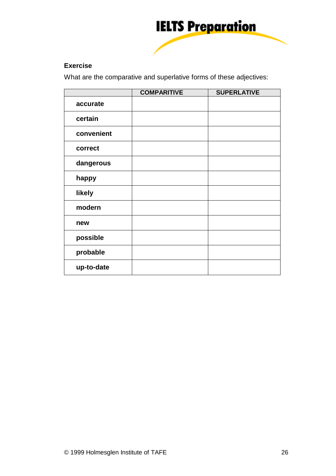

#### **Exercise**

What are the comparative and superlative forms of these adjectives:

|            | <b>COMPARITIVE</b> | <b>SUPERLATIVE</b> |
|------------|--------------------|--------------------|
| accurate   |                    |                    |
| certain    |                    |                    |
| convenient |                    |                    |
| correct    |                    |                    |
| dangerous  |                    |                    |
| happy      |                    |                    |
| likely     |                    |                    |
| modern     |                    |                    |
| new        |                    |                    |
| possible   |                    |                    |
| probable   |                    |                    |
| up-to-date |                    |                    |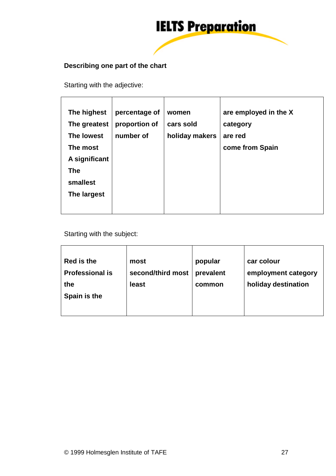

#### **Describing one part of the chart**

Starting with the adjective:

| The highest       | percentage of | women          | are employed in the X |
|-------------------|---------------|----------------|-----------------------|
| The greatest      | proportion of | cars sold      | category              |
| <b>The lowest</b> | number of     | holiday makers | are red               |
| The most          |               |                | come from Spain       |
| A significant     |               |                |                       |
| <b>The</b>        |               |                |                       |
| smallest          |               |                |                       |
| The largest       |               |                |                       |
|                   |               |                |                       |

Starting with the subject:

| most              | popular   | car colour          |
|-------------------|-----------|---------------------|
| second/third most | prevalent | employment category |
| least             | common    | holiday destination |
|                   |           |                     |
|                   |           |                     |
|                   |           |                     |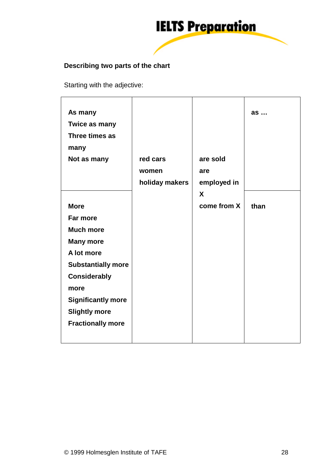

#### **Describing two parts of the chart**

Starting with the adjective:

| As many                   |                |             | as   |
|---------------------------|----------------|-------------|------|
| Twice as many             |                |             |      |
| Three times as            |                |             |      |
| many                      |                |             |      |
| Not as many               | red cars       | are sold    |      |
|                           | women          | are         |      |
|                           | holiday makers | employed in |      |
|                           |                | X           |      |
| <b>More</b>               |                | come from X | than |
| Far more                  |                |             |      |
| <b>Much more</b>          |                |             |      |
| <b>Many more</b>          |                |             |      |
| A lot more                |                |             |      |
| <b>Substantially more</b> |                |             |      |
| <b>Considerably</b>       |                |             |      |
| more                      |                |             |      |
| <b>Significantly more</b> |                |             |      |
| <b>Slightly more</b>      |                |             |      |
| <b>Fractionally more</b>  |                |             |      |
|                           |                |             |      |
|                           |                |             |      |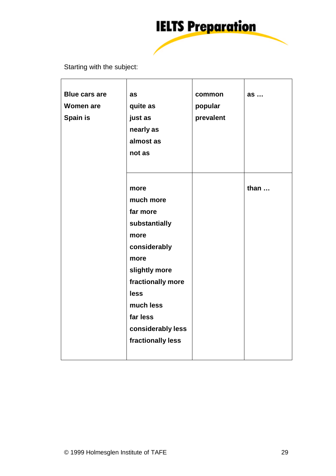

Starting with the subject:

| <b>Blue cars are</b><br><b>Women are</b><br>Spain is | as<br>quite as<br>just as<br>nearly as<br>almost as<br>not as                                                                                                                                   | common<br>popular<br>prevalent | as   |
|------------------------------------------------------|-------------------------------------------------------------------------------------------------------------------------------------------------------------------------------------------------|--------------------------------|------|
|                                                      | more<br>much more<br>far more<br>substantially<br>more<br>considerably<br>more<br>slightly more<br>fractionally more<br>less<br>much less<br>far less<br>considerably less<br>fractionally less |                                | than |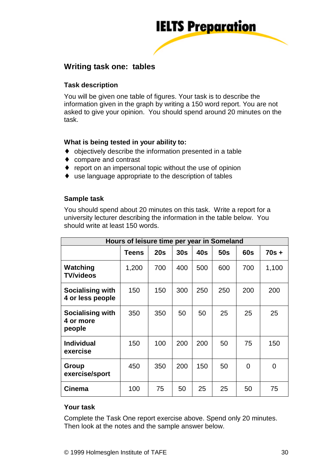

#### **Writing task one: tables**

#### **Task description**

You will be given one table of figures. Your task is to describe the information given in the graph by writing a 150 word report. You are not asked to give your opinion. You should spend around 20 minutes on the task.

#### **What is being tested in your ability to:**

- ♦ objectively describe the information presented in a table
- ♦ compare and contrast
- ♦ report on an impersonal topic without the use of opinion
- ♦ use language appropriate to the description of tables

#### **Sample task**

You should spend about 20 minutes on this task. Write a report for a university lecturer describing the information in the table below. You should write at least 150 words.

| Hours of leisure time per year in Someland     |       |     |                 |     |     |            |         |
|------------------------------------------------|-------|-----|-----------------|-----|-----|------------|---------|
|                                                | Teens | 20s | 30 <sub>s</sub> | 40s | 50s | <b>60s</b> | $70s +$ |
| Watching<br><b>TV/videos</b>                   | 1,200 | 700 | 400             | 500 | 600 | 700        | 1,100   |
| <b>Socialising with</b><br>4 or less people    | 150   | 150 | 300             | 250 | 250 | 200        | 200     |
| <b>Socialising with</b><br>4 or more<br>people | 350   | 350 | 50              | 50  | 25  | 25         | 25      |
| <b>Individual</b><br>exercise                  | 150   | 100 | 200             | 200 | 50  | 75         | 150     |
| Group<br>exercise/sport                        | 450   | 350 | 200             | 150 | 50  | 0          | 0       |
| <b>Cinema</b>                                  | 100   | 75  | 50              | 25  | 25  | 50         | 75      |

#### **Your task**

Complete the Task One report exercise above. Spend only 20 minutes. Then look at the notes and the sample answer below.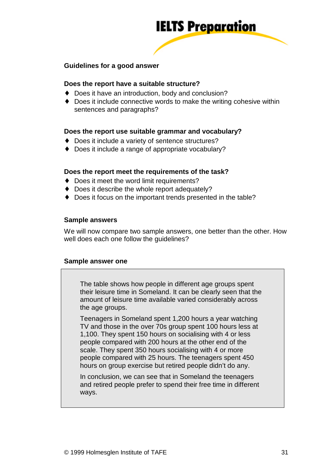

#### **Guidelines for a good answer**

#### **Does the report have a suitable structure?**

- ♦ Does it have an introduction, body and conclusion?
- ♦ Does it include connective words to make the writing cohesive within sentences and paragraphs?

#### **Does the report use suitable grammar and vocabulary?**

- ♦ Does it include a variety of sentence structures?
- ♦ Does it include a range of appropriate vocabulary?

#### **Does the report meet the requirements of the task?**

- ♦ Does it meet the word limit requirements?
- ♦ Does it describe the whole report adequately?
- ♦ Does it focus on the important trends presented in the table?

#### **Sample answers**

We will now compare two sample answers, one better than the other. How well does each one follow the guidelines?

#### **Sample answer one**

The table shows how people in different age groups spent their leisure time in Someland. It can be clearly seen that the amount of leisure time available varied considerably across the age groups.

Teenagers in Someland spent 1,200 hours a year watching TV and those in the over 70s group spent 100 hours less at 1,100. They spent 150 hours on socialising with 4 or less people compared with 200 hours at the other end of the scale. They spent 350 hours socialising with 4 or more people compared with 25 hours. The teenagers spent 450 hours on group exercise but retired people didn't do any.

In conclusion, we can see that in Someland the teenagers and retired people prefer to spend their free time in different ways.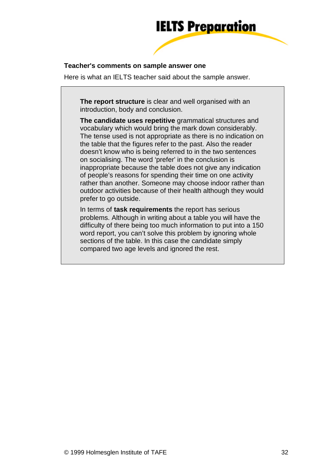#### **Teacher's comments on sample answer one**

Here is what an IELTS teacher said about the sample answer.

**The report structure** is clear and well organised with an introduction, body and conclusion.

**The candidate uses repetitive** grammatical structures and vocabulary which would bring the mark down considerably. The tense used is not appropriate as there is no indication on the table that the figures refer to the past. Also the reader doesn't know who is being referred to in the two sentences on socialising. The word 'prefer' in the conclusion is inappropriate because the table does not give any indication of people's reasons for spending their time on one activity rather than another. Someone may choose indoor rather than outdoor activities because of their health although they would prefer to go outside.

In terms of **task requirements** the report has serious problems. Although in writing about a table you will have the difficulty of there being too much information to put into a 150 word report, you can't solve this problem by ignoring whole sections of the table. In this case the candidate simply compared two age levels and ignored the rest.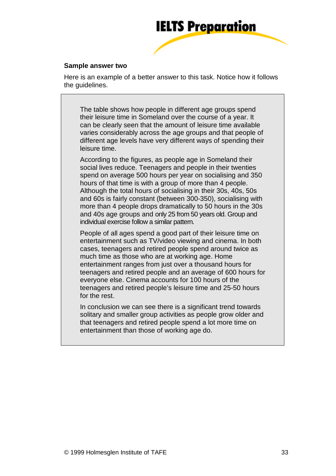

#### **Sample answer two**

Here is an example of a better answer to this task. Notice how it follows the guidelines.

The table shows how people in different age groups spend their leisure time in Someland over the course of a year. It can be clearly seen that the amount of leisure time available varies considerably across the age groups and that people of different age levels have very different ways of spending their leisure time.

According to the figures, as people age in Someland their social lives reduce. Teenagers and people in their twenties spend on average 500 hours per year on socialising and 350 hours of that time is with a group of more than 4 people. Although the total hours of socialising in their 30s, 40s, 50s and 60s is fairly constant (between 300-350), socialising with more than 4 people drops dramatically to 50 hours in the 30s and 40s age groups and only 25 from 50 years old. Group and individual exercise follow a similar pattern.

People of all ages spend a good part of their leisure time on entertainment such as TV/video viewing and cinema. In both cases, teenagers and retired people spend around twice as much time as those who are at working age. Home entertainment ranges from just over a thousand hours for teenagers and retired people and an average of 600 hours for everyone else. Cinema accounts for 100 hours of the teenagers and retired people's leisure time and 25-50 hours for the rest.

In conclusion we can see there is a significant trend towards solitary and smaller group activities as people grow older and that teenagers and retired people spend a lot more time on entertainment than those of working age do.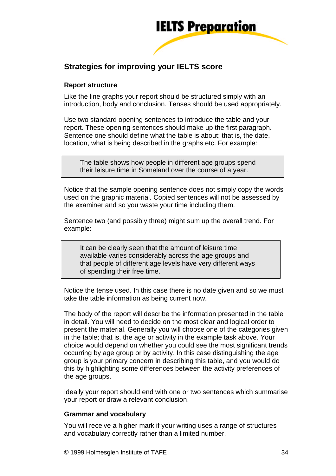

#### **Strategies for improving your IELTS score**

#### **Report structure**

Like the line graphs your report should be structured simply with an introduction, body and conclusion. Tenses should be used appropriately.

Use two standard opening sentences to introduce the table and your report. These opening sentences should make up the first paragraph. Sentence one should define what the table is about; that is, the date, location, what is being described in the graphs etc. For example:

The table shows how people in different age groups spend their leisure time in Someland over the course of a year.

Notice that the sample opening sentence does not simply copy the words used on the graphic material. Copied sentences will not be assessed by the examiner and so you waste your time including them.

Sentence two (and possibly three) might sum up the overall trend. For example:

It can be clearly seen that the amount of leisure time available varies considerably across the age groups and that people of different age levels have very different ways of spending their free time.

Notice the tense used. In this case there is no date given and so we must take the table information as being current now.

The body of the report will describe the information presented in the table in detail. You will need to decide on the most clear and logical order to present the material. Generally you will choose one of the categories given in the table; that is, the age or activity in the example task above. Your choice would depend on whether you could see the most significant trends occurring by age group or by activity. In this case distinguishing the age group is your primary concern in describing this table, and you would do this by highlighting some differences between the activity preferences of the age groups.

Ideally your report should end with one or two sentences which summarise your report or draw a relevant conclusion.

#### **Grammar and vocabulary**

You will receive a higher mark if your writing uses a range of structures and vocabulary correctly rather than a limited number.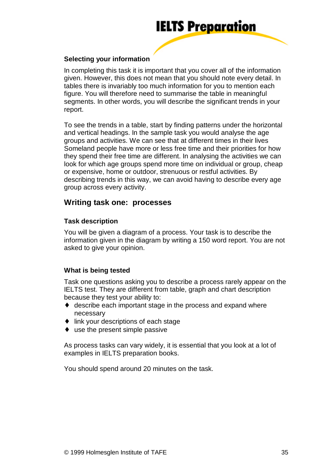#### **Selecting your information**

In completing this task it is important that you cover all of the information given. However, this does not mean that you should note every detail. In tables there is invariably too much information for you to mention each figure. You will therefore need to summarise the table in meaningful segments. In other words, you will describe the significant trends in your report.

To see the trends in a table, start by finding patterns under the horizontal and vertical headings. In the sample task you would analyse the age groups and activities. We can see that at different times in their lives Someland people have more or less free time and their priorities for how they spend their free time are different. In analysing the activities we can look for which age groups spend more time on individual or group, cheap or expensive, home or outdoor, strenuous or restful activities. By describing trends in this way, we can avoid having to describe every age group across every activity.

#### **Writing task one: processes**

#### **Task description**

You will be given a diagram of a process. Your task is to describe the information given in the diagram by writing a 150 word report. You are not asked to give your opinion.

#### **What is being tested**

Task one questions asking you to describe a process rarely appear on the IELTS test. They are different from table, graph and chart description because they test your ability to:

- ♦ describe each important stage in the process and expand where necessary
- ♦ link your descriptions of each stage
- $\bullet$  use the present simple passive

As process tasks can vary widely, it is essential that you look at a lot of examples in IELTS preparation books.

You should spend around 20 minutes on the task.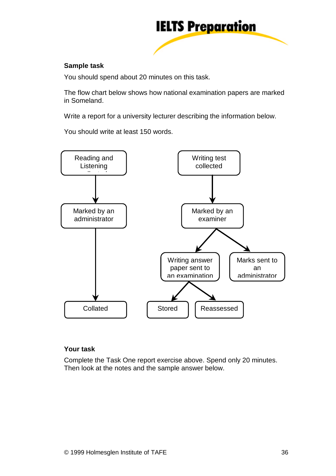

#### **Sample task**

You should spend about 20 minutes on this task.

The flow chart below shows how national examination papers are marked in Someland.

Write a report for a university lecturer describing the information below.

You should write at least 150 words.



#### **Your task**

Complete the Task One report exercise above. Spend only 20 minutes. Then look at the notes and the sample answer below.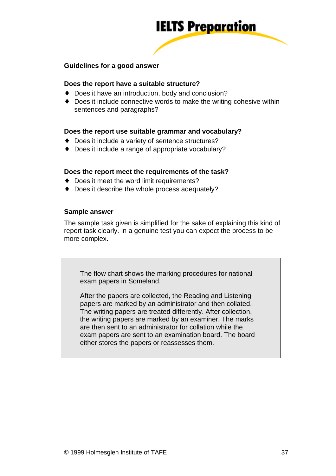

#### **Guidelines for a good answer**

#### **Does the report have a suitable structure?**

- ♦ Does it have an introduction, body and conclusion?
- ♦ Does it include connective words to make the writing cohesive within sentences and paragraphs?

#### **Does the report use suitable grammar and vocabulary?**

- ♦ Does it include a variety of sentence structures?
- ♦ Does it include a range of appropriate vocabulary?

#### **Does the report meet the requirements of the task?**

- ♦ Does it meet the word limit requirements?
- ♦ Does it describe the whole process adequately?

#### **Sample answer**

The sample task given is simplified for the sake of explaining this kind of report task clearly. In a genuine test you can expect the process to be more complex.

The flow chart shows the marking procedures for national exam papers in Someland.

After the papers are collected, the Reading and Listening papers are marked by an administrator and then collated. The writing papers are treated differently. After collection, the writing papers are marked by an examiner. The marks are then sent to an administrator for collation while the exam papers are sent to an examination board. The board either stores the papers or reassesses them.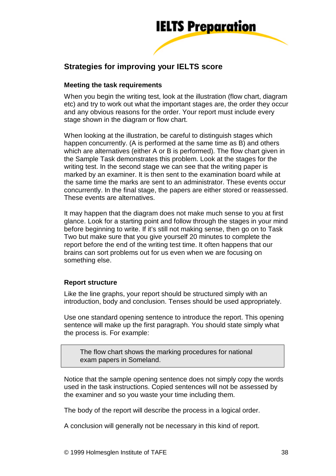

#### **Strategies for improving your IELTS score**

#### **Meeting the task requirements**

When you begin the writing test, look at the illustration (flow chart, diagram etc) and try to work out what the important stages are, the order they occur and any obvious reasons for the order. Your report must include every stage shown in the diagram or flow chart.

When looking at the illustration, be careful to distinguish stages which happen concurrently. (A is performed at the same time as B) and others which are alternatives (either A or B is performed). The flow chart given in the Sample Task demonstrates this problem. Look at the stages for the writing test. In the second stage we can see that the writing paper is marked by an examiner. It is then sent to the examination board while at the same time the marks are sent to an administrator. These events occur concurrently. In the final stage, the papers are either stored or reassessed. These events are alternatives.

It may happen that the diagram does not make much sense to you at first glance. Look for a starting point and follow through the stages in your mind before beginning to write. If it's still not making sense, then go on to Task Two but make sure that you give yourself 20 minutes to complete the report before the end of the writing test time. It often happens that our brains can sort problems out for us even when we are focusing on something else.

#### **Report structure**

Like the line graphs, your report should be structured simply with an introduction, body and conclusion. Tenses should be used appropriately.

Use one standard opening sentence to introduce the report. This opening sentence will make up the first paragraph. You should state simply what the process is. For example:

The flow chart shows the marking procedures for national exam papers in Someland.

Notice that the sample opening sentence does not simply copy the words used in the task instructions. Copied sentences will not be assessed by the examiner and so you waste your time including them.

The body of the report will describe the process in a logical order.

A conclusion will generally not be necessary in this kind of report.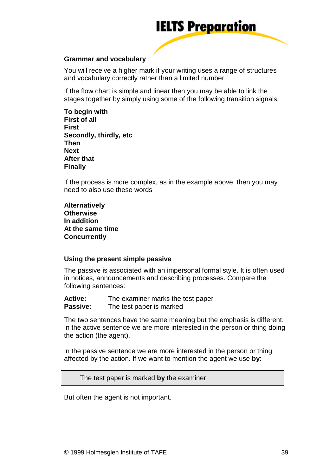

#### **Grammar and vocabulary**

You will receive a higher mark if your writing uses a range of structures and vocabulary correctly rather than a limited number.

If the flow chart is simple and linear then you may be able to link the stages together by simply using some of the following transition signals.

**To begin with First of all First Secondly, thirdly, etc Then Next After that Finally**

If the process is more complex, as in the example above, then you may need to also use these words

**Alternatively Otherwise In addition At the same time Concurrently**

#### **Using the present simple passive**

The passive is associated with an impersonal formal style. It is often used in notices, announcements and describing processes. Compare the following sentences:

**Active:** The examiner marks the test paper **Passive:** The test paper is marked

The two sentences have the same meaning but the emphasis is different. In the active sentence we are more interested in the person or thing doing the action (the agent).

In the passive sentence we are more interested in the person or thing affected by the action. If we want to mention the agent we use **by**:

The test paper is marked **by** the examiner

But often the agent is not important.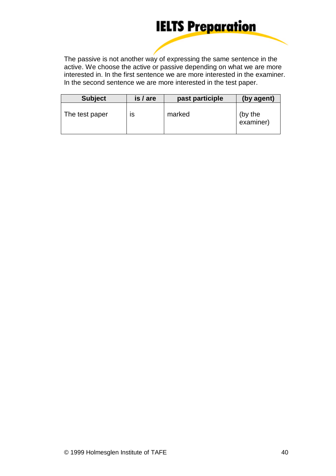The passive is not another way of expressing the same sentence in the active. We choose the active or passive depending on what we are more interested in. In the first sentence we are more interested in the examiner. In the second sentence we are more interested in the test paper.

| <b>Subject</b> | past participle<br>is / are |        | (by agent)           |  |  |
|----------------|-----------------------------|--------|----------------------|--|--|
| The test paper | IS                          | marked | (by the<br>examiner) |  |  |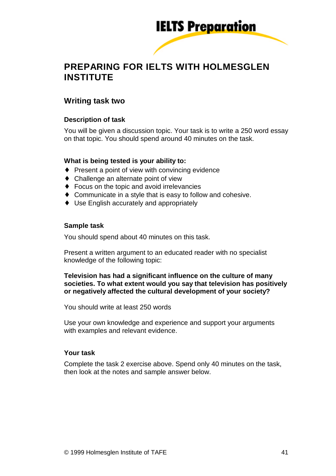

#### **PREPARING FOR IELTS WITH HOLMESGLEN INSTITUTE**

#### **Writing task two**

#### **Description of task**

You will be given a discussion topic. Your task is to write a 250 word essay on that topic. You should spend around 40 minutes on the task.

#### **What is being tested is your ability to:**

- ♦ Present a point of view with convincing evidence
- ♦ Challenge an alternate point of view
- ♦ Focus on the topic and avoid irrelevancies
- ♦ Communicate in a style that is easy to follow and cohesive.
- ♦ Use English accurately and appropriately

#### **Sample task**

You should spend about 40 minutes on this task.

Present a written argument to an educated reader with no specialist knowledge of the following topic:

#### **Television has had a significant influence on the culture of many societies. To what extent would you say that television has positively or negatively affected the cultural development of your society?**

You should write at least 250 words

Use your own knowledge and experience and support your arguments with examples and relevant evidence.

#### **Your task**

Complete the task 2 exercise above. Spend only 40 minutes on the task, then look at the notes and sample answer below.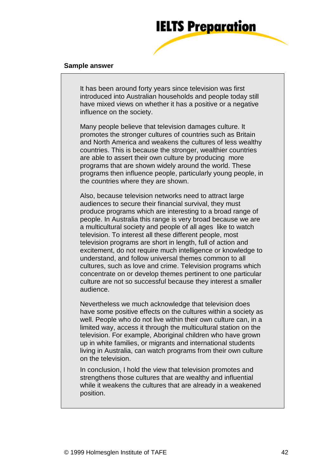#### **Sample answer**

It has been around forty years since television was first introduced into Australian households and people today still have mixed views on whether it has a positive or a negative influence on the society.

Many people believe that television damages culture. It promotes the stronger cultures of countries such as Britain and North America and weakens the cultures of less wealthy countries. This is because the stronger, wealthier countries are able to assert their own culture by producing more programs that are shown widely around the world. These programs then influence people, particularly young people, in the countries where they are shown.

Also, because television networks need to attract large audiences to secure their financial survival, they must produce programs which are interesting to a broad range of people. In Australia this range is very broad because we are a multicultural society and people of all ages like to watch television. To interest all these different people, most television programs are short in length, full of action and excitement, do not require much intelligence or knowledge to understand, and follow universal themes common to all cultures, such as love and crime. Television programs which concentrate on or develop themes pertinent to one particular culture are not so successful because they interest a smaller audience.

Nevertheless we much acknowledge that television does have some positive effects on the cultures within a society as well. People who do not live within their own culture can, in a limited way, access it through the multicultural station on the television. For example, Aboriginal children who have grown up in white families, or migrants and international students living in Australia, can watch programs from their own culture on the television.

In conclusion, I hold the view that television promotes and strengthens those cultures that are wealthy and influential while it weakens the cultures that are already in a weakened position.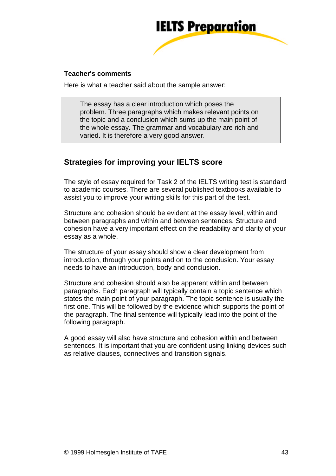

#### **Teacher's comments**

Here is what a teacher said about the sample answer:

The essay has a clear introduction which poses the problem. Three paragraphs which makes relevant points on the topic and a conclusion which sums up the main point of the whole essay. The grammar and vocabulary are rich and varied. It is therefore a very good answer.

#### **Strategies for improving your IELTS score**

The style of essay required for Task 2 of the IELTS writing test is standard to academic courses. There are several published textbooks available to assist you to improve your writing skills for this part of the test.

Structure and cohesion should be evident at the essay level, within and between paragraphs and within and between sentences. Structure and cohesion have a very important effect on the readability and clarity of your essay as a whole.

The structure of your essay should show a clear development from introduction, through your points and on to the conclusion. Your essay needs to have an introduction, body and conclusion.

Structure and cohesion should also be apparent within and between paragraphs. Each paragraph will typically contain a topic sentence which states the main point of your paragraph. The topic sentence is usually the first one. This will be followed by the evidence which supports the point of the paragraph. The final sentence will typically lead into the point of the following paragraph.

A good essay will also have structure and cohesion within and between sentences. It is important that you are confident using linking devices such as relative clauses, connectives and transition signals.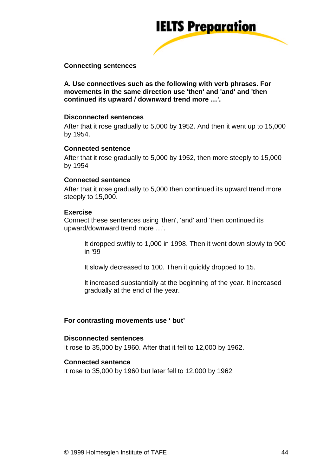

#### **Connecting sentences**

**A. Use connectives such as the following with verb phrases. For movements in the same direction use 'then' and 'and' and 'then continued its upward / downward trend more … '.**

#### **Disconnected sentences**

After that it rose gradually to 5,000 by 1952. And then it went up to 15,000 by 1954.

#### **Connected sentence**

After that it rose gradually to 5,000 by 1952, then more steeply to 15,000 by 1954

#### **Connected sentence**

After that it rose gradually to 5,000 then continued its upward trend more steeply to 15,000.

#### **Exercise**

Connect these sentences using 'then', 'and' and 'then continued its upward/downward trend more … '.

It dropped swiftly to 1,000 in 1998. Then it went down slowly to 900 in '99

It slowly decreased to 100. Then it quickly dropped to 15.

It increased substantially at the beginning of the year. It increased gradually at the end of the year.

#### **For contrasting movements use ' but'**

#### **Disconnected sentences**

It rose to 35,000 by 1960. After that it fell to 12,000 by 1962.

#### **Connected sentence**

It rose to 35,000 by 1960 but later fell to 12,000 by 1962